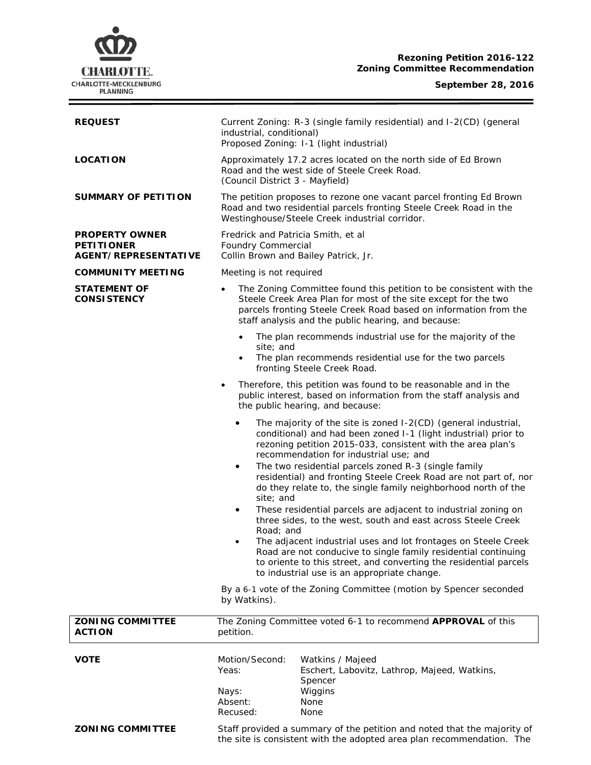# **CHARLOTTE.** CHARLOTTE-MECKLENBURG

## **Rezoning Petition 2016-122 Zoning Committee Recommendation**

### **September 28, 2016**

 $\equiv$ 

| <b>REQUEST</b>                                                            | Current Zoning: R-3 (single family residential) and I-2(CD) (general<br>industrial, conditional)<br>Proposed Zoning: I-1 (light industrial)                                                                                                                                                                                                                                                                                                                                                                                                                                                                                                                                                                                                                                                                                                                                                                                                                      |                                                                                                                                                                                                                                                                 |
|---------------------------------------------------------------------------|------------------------------------------------------------------------------------------------------------------------------------------------------------------------------------------------------------------------------------------------------------------------------------------------------------------------------------------------------------------------------------------------------------------------------------------------------------------------------------------------------------------------------------------------------------------------------------------------------------------------------------------------------------------------------------------------------------------------------------------------------------------------------------------------------------------------------------------------------------------------------------------------------------------------------------------------------------------|-----------------------------------------------------------------------------------------------------------------------------------------------------------------------------------------------------------------------------------------------------------------|
| <b>LOCATION</b>                                                           | Approximately 17.2 acres located on the north side of Ed Brown<br>Road and the west side of Steele Creek Road.<br>(Council District 3 - Mayfield)                                                                                                                                                                                                                                                                                                                                                                                                                                                                                                                                                                                                                                                                                                                                                                                                                |                                                                                                                                                                                                                                                                 |
| <b>SUMMARY OF PETITION</b>                                                | The petition proposes to rezone one vacant parcel fronting Ed Brown<br>Road and two residential parcels fronting Steele Creek Road in the<br>Westinghouse/Steele Creek industrial corridor.                                                                                                                                                                                                                                                                                                                                                                                                                                                                                                                                                                                                                                                                                                                                                                      |                                                                                                                                                                                                                                                                 |
| <b>PROPERTY OWNER</b><br><b>PETITIONER</b><br><b>AGENT/REPRESENTATIVE</b> | Fredrick and Patricia Smith, et al<br>Foundry Commercial<br>Collin Brown and Bailey Patrick, Jr.                                                                                                                                                                                                                                                                                                                                                                                                                                                                                                                                                                                                                                                                                                                                                                                                                                                                 |                                                                                                                                                                                                                                                                 |
| <b>COMMUNITY MEETING</b>                                                  | Meeting is not required                                                                                                                                                                                                                                                                                                                                                                                                                                                                                                                                                                                                                                                                                                                                                                                                                                                                                                                                          |                                                                                                                                                                                                                                                                 |
| <b>STATEMENT OF</b><br><b>CONSISTENCY</b>                                 | $\bullet$                                                                                                                                                                                                                                                                                                                                                                                                                                                                                                                                                                                                                                                                                                                                                                                                                                                                                                                                                        | The Zoning Committee found this petition to be consistent with the<br>Steele Creek Area Plan for most of the site except for the two<br>parcels fronting Steele Creek Road based on information from the<br>staff analysis and the public hearing, and because: |
|                                                                           | $\bullet$<br>site; and<br>$\bullet$                                                                                                                                                                                                                                                                                                                                                                                                                                                                                                                                                                                                                                                                                                                                                                                                                                                                                                                              | The plan recommends industrial use for the majority of the<br>The plan recommends residential use for the two parcels<br>fronting Steele Creek Road.                                                                                                            |
|                                                                           | $\bullet$                                                                                                                                                                                                                                                                                                                                                                                                                                                                                                                                                                                                                                                                                                                                                                                                                                                                                                                                                        | Therefore, this petition was found to be reasonable and in the<br>public interest, based on information from the staff analysis and<br>the public hearing, and because:                                                                                         |
|                                                                           | The majority of the site is zoned I-2(CD) (general industrial,<br>٠<br>conditional) and had been zoned I-1 (light industrial) prior to<br>rezoning petition 2015-033, consistent with the area plan's<br>recommendation for industrial use; and<br>The two residential parcels zoned R-3 (single family<br>٠<br>residential) and fronting Steele Creek Road are not part of, nor<br>do they relate to, the single family neighborhood north of the<br>site; and<br>These residential parcels are adjacent to industrial zoning on<br>٠<br>three sides, to the west, south and east across Steele Creek<br>Road; and<br>The adjacent industrial uses and lot frontages on Steele Creek<br>Road are not conducive to single family residential continuing<br>to oriente to this street, and converting the residential parcels<br>to industrial use is an appropriate change.<br>By a 6-1 vote of the Zoning Committee (motion by Spencer seconded<br>by Watkins). |                                                                                                                                                                                                                                                                 |
| <b>ZONING COMMITTEE</b><br><b>ACTION</b>                                  | petition.                                                                                                                                                                                                                                                                                                                                                                                                                                                                                                                                                                                                                                                                                                                                                                                                                                                                                                                                                        | The Zoning Committee voted 6-1 to recommend APPROVAL of this                                                                                                                                                                                                    |
| <b>VOTE</b>                                                               | Motion/Second:<br>Yeas:<br>Nays:<br>Absent:<br>Recused:                                                                                                                                                                                                                                                                                                                                                                                                                                                                                                                                                                                                                                                                                                                                                                                                                                                                                                          | Watkins / Majeed<br>Eschert, Labovitz, Lathrop, Majeed, Watkins,<br>Spencer<br>Wiggins<br>None<br>None                                                                                                                                                          |
| <b>ZONING COMMITTEE</b>                                                   | Staff provided a summary of the petition and noted that the majority of<br>the site is consistent with the adopted area plan recommendation. The                                                                                                                                                                                                                                                                                                                                                                                                                                                                                                                                                                                                                                                                                                                                                                                                                 |                                                                                                                                                                                                                                                                 |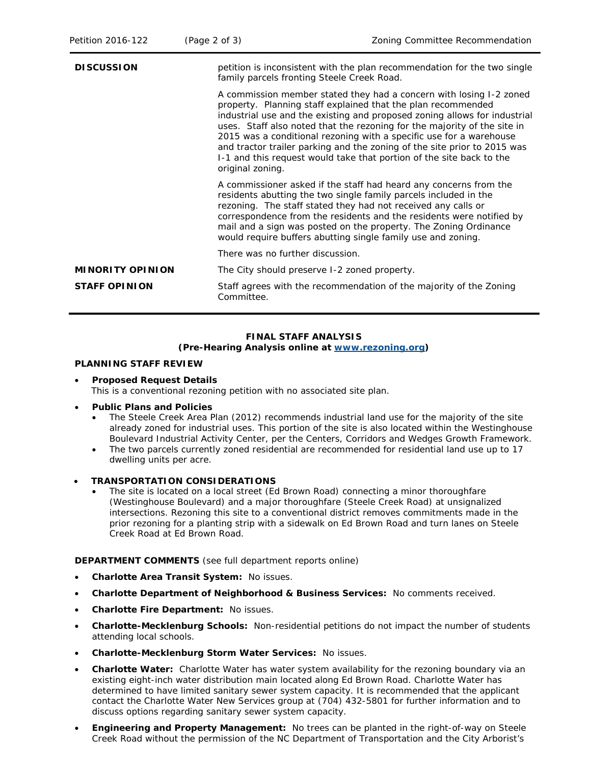| <b>DISCUSSION</b>       | petition is inconsistent with the plan recommendation for the two single<br>family parcels fronting Steele Creek Road.                                                                                                                                                                                                                                                                                                                                                                                                                      |  |  |
|-------------------------|---------------------------------------------------------------------------------------------------------------------------------------------------------------------------------------------------------------------------------------------------------------------------------------------------------------------------------------------------------------------------------------------------------------------------------------------------------------------------------------------------------------------------------------------|--|--|
|                         | A commission member stated they had a concern with losing 1-2 zoned<br>property. Planning staff explained that the plan recommended<br>industrial use and the existing and proposed zoning allows for industrial<br>uses. Staff also noted that the rezoning for the majority of the site in<br>2015 was a conditional rezoning with a specific use for a warehouse<br>and tractor trailer parking and the zoning of the site prior to 2015 was<br>I-1 and this request would take that portion of the site back to the<br>original zoning. |  |  |
|                         | A commissioner asked if the staff had heard any concerns from the<br>residents abutting the two single family parcels included in the<br>rezoning. The staff stated they had not received any calls or<br>correspondence from the residents and the residents were notified by<br>mail and a sign was posted on the property. The Zoning Ordinance<br>would require buffers abutting single family use and zoning.                                                                                                                          |  |  |
|                         | There was no further discussion.                                                                                                                                                                                                                                                                                                                                                                                                                                                                                                            |  |  |
| <b>MINORITY OPINION</b> | The City should preserve 1-2 zoned property.                                                                                                                                                                                                                                                                                                                                                                                                                                                                                                |  |  |
| <b>STAFF OPINION</b>    | Staff agrees with the recommendation of the majority of the Zoning<br>Committee.                                                                                                                                                                                                                                                                                                                                                                                                                                                            |  |  |

#### **FINAL STAFF ANALYSIS (Pre-Hearing Analysis online at [www.rezoning.org\)](http://www.rezoning.org/)**

## **PLANNING STAFF REVIEW**

• **Proposed Request Details** This is a conventional rezoning petition with no associated site plan.

## • **Public Plans and Policies**

- The *Steele Creek Area Plan* (2012) recommends industrial land use for the majority of the site already zoned for industrial uses. This portion of the site is also located within the Westinghouse Boulevard Industrial Activity Center, per the *Centers, Corridors and Wedges Growth Framework*.
- The two parcels currently zoned residential are recommended for residential land use up to 17 dwelling units per acre.
- **TRANSPORTATION CONSIDERATIONS**
	- The site is located on a local street (Ed Brown Road) connecting a minor thoroughfare (Westinghouse Boulevard) and a major thoroughfare (Steele Creek Road) at unsignalized intersections. Rezoning this site to a conventional district removes commitments made in the prior rezoning for a planting strip with a sidewalk on Ed Brown Road and turn lanes on Steele Creek Road at Ed Brown Road.

**DEPARTMENT COMMENTS** (see full department reports online)

- **Charlotte Area Transit System:** No issues.
- **Charlotte Department of Neighborhood & Business Services:** No comments received.
- **Charlotte Fire Department:** No issues.
- **Charlotte-Mecklenburg Schools:** Non-residential petitions do not impact the number of students attending local schools.
- **Charlotte-Mecklenburg Storm Water Services:** No issues.
- **Charlotte Water:** Charlotte Water has water system availability for the rezoning boundary via an existing eight-inch water distribution main located along Ed Brown Road. Charlotte Water has determined to have limited sanitary sewer system capacity. It is recommended that the applicant contact the Charlotte Water New Services group at (704) 432-5801 for further information and to discuss options regarding sanitary sewer system capacity.
- **Engineering and Property Management:** No trees can be planted in the right-of-way on Steele Creek Road without the permission of the NC Department of Transportation and the City Arborist's